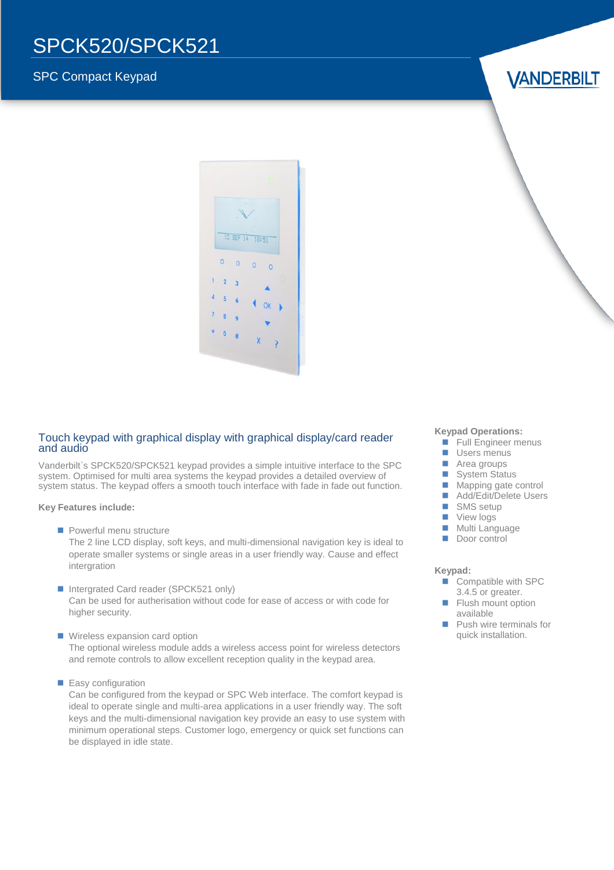## SPCK520/SPCK521

### SPC Compact Keypad

**VANDERBILT** 



#### Touch keypad with graphical display with graphical display/card reader and audio

Vanderbilt`s SPCK520/SPCK521 keypad provides a simple intuitive interface to the SPC system. Optimised for multi area systems the keypad provides a detailed overview of system status. The keypad offers a smooth touch interface with fade in fade out function.

**Key Features include:**

**Powerful menu structure** 

The 2 line LCD display, soft keys, and multi-dimensional navigation key is ideal to operate smaller systems or single areas in a user friendly way. Cause and effect intergration

- Intergrated Card reader (SPCK521 only) Can be used for autherisation without code for ease of access or with code for higher security.
- **Wireless expansion card option** The optional wireless module adds a wireless access point for wireless detectors and remote controls to allow excellent reception quality in the keypad area.
- **Easy configuration**

Can be configured from the keypad or SPC Web interface. The comfort keypad is ideal to operate single and multi-area applications in a user friendly way. The soft keys and the multi-dimensional navigation key provide an easy to use system with minimum operational steps. Customer logo, emergency or quick set functions can be displayed in idle state.

#### **Keypad Operations:**

- **Full Engineer menus**
- **Users menus**
- **Area groups**
- System Status
- **Mapping gate control**
- Add/Edit/Delete Users
- SMS setup
- **View logs**
- **Multi Language**
- Door control

#### **Keypad:**

- Compatible with SPC 3.4.5 or greater.
- **Flush mount option** available
- Push wire terminals for quick installation.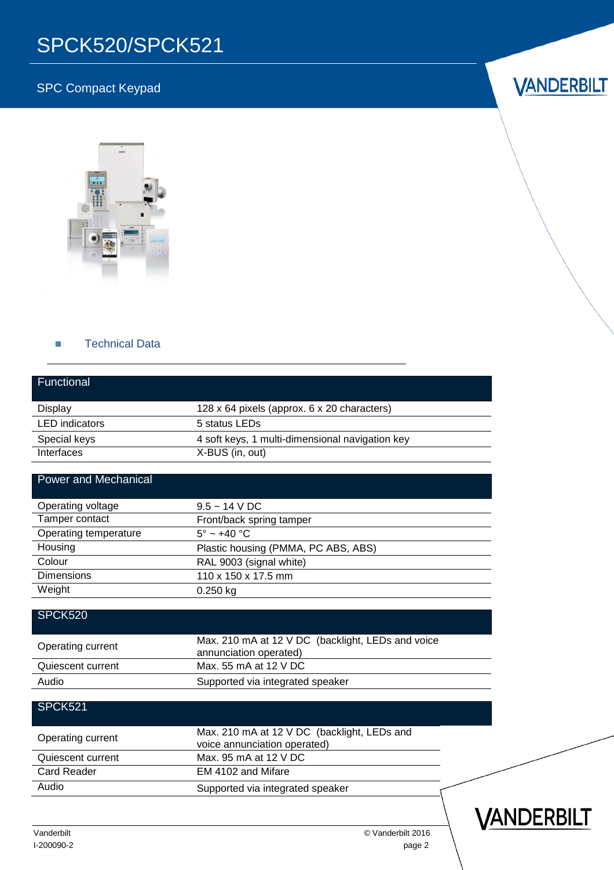# SPCK520/SPCK521

### SPC Compact Keypad

# **VANDERBILT**



#### **Technical Data**

| Functional                  |                                                                             |  |
|-----------------------------|-----------------------------------------------------------------------------|--|
| Display                     | 128 x 64 pixels (approx. 6 x 20 characters)                                 |  |
| <b>LED</b> indicators       | 5 status LEDs                                                               |  |
| Special keys                | 4 soft keys, 1 multi-dimensional navigation key                             |  |
| Interfaces                  | X-BUS (in, out)                                                             |  |
| <b>Power and Mechanical</b> |                                                                             |  |
| Operating voltage           | $9.5 - 14$ V DC                                                             |  |
| Tamper contact              | Front/back spring tamper                                                    |  |
| Operating temperature       | $5^\circ \sim +40^\circ \text{C}$                                           |  |
| Housing                     | Plastic housing (PMMA, PC ABS, ABS)                                         |  |
| Colour                      | RAL 9003 (signal white)                                                     |  |
| <b>Dimensions</b>           | 110 x 150 x 17.5 mm                                                         |  |
| Weight                      | $0.250$ kg                                                                  |  |
| SPCK520                     |                                                                             |  |
| Operating current           | Max. 210 mA at 12 V DC (backlight, LEDs and voice<br>annunciation operated) |  |
| Quiescent current           | Max. 55 mA at 12 V DC                                                       |  |
| Audio                       | Supported via integrated speaker                                            |  |
| <b>SPCK521</b>              |                                                                             |  |
| Operating current           | Max. 210 mA at 12 V DC (backlight, LEDs and<br>voice annunciation operated) |  |
| Quiescent current           | Max, 95 mA at 12 V DC                                                       |  |
| <b>Card Reader</b>          | EM 4102 and Mifare                                                          |  |
| Audio                       | Supported via integrated speaker                                            |  |

Vanderbilt © Vanderbilt 2016 I-200090-2 page 2 VANDERBILT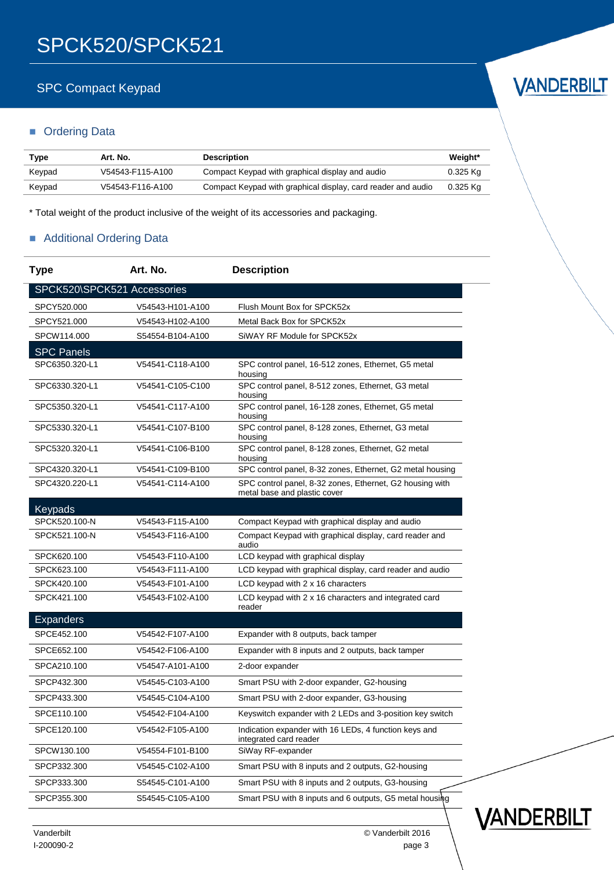### SPC Compact Keypad

### **C**rdering Data

| Type   | Art. No.         | <b>Description</b>                                           | Weight*    |
|--------|------------------|--------------------------------------------------------------|------------|
| Keypad | V54543-F115-A100 | Compact Keypad with graphical display and audio              | $0.325$ Kg |
| Keypad | V54543-F116-A100 | Compact Keypad with graphical display, card reader and audio | 0.325 Kg   |

\* Total weight of the product inclusive of the weight of its accessories and packaging.

### Additional Ordering Data

| <b>Type</b>                 | Art. No.         | <b>Description</b>                                                                       |
|-----------------------------|------------------|------------------------------------------------------------------------------------------|
| SPCK520\SPCK521 Accessories |                  |                                                                                          |
| SPCY520.000                 | V54543-H101-A100 | Flush Mount Box for SPCK52x                                                              |
| SPCY521.000                 | V54543-H102-A100 | Metal Back Box for SPCK52x                                                               |
| SPCW114.000                 | S54554-B104-A100 | SiWAY RF Module for SPCK52x                                                              |
| <b>SPC Panels</b>           |                  |                                                                                          |
| SPC6350.320-L1              | V54541-C118-A100 | SPC control panel, 16-512 zones, Ethernet, G5 metal<br>housing                           |
| SPC6330.320-L1              | V54541-C105-C100 | SPC control panel, 8-512 zones, Ethernet, G3 metal<br>housing                            |
| SPC5350.320-L1              | V54541-C117-A100 | SPC control panel, 16-128 zones, Ethernet, G5 metal<br>housing                           |
| SPC5330.320-L1              | V54541-C107-B100 | SPC control panel, 8-128 zones, Ethernet, G3 metal<br>housing                            |
| SPC5320.320-L1              | V54541-C106-B100 | SPC control panel, 8-128 zones, Ethernet, G2 metal<br>housing                            |
| SPC4320.320-L1              | V54541-C109-B100 | SPC control panel, 8-32 zones, Ethernet, G2 metal housing                                |
| SPC4320.220-L1              | V54541-C114-A100 | SPC control panel, 8-32 zones, Ethernet, G2 housing with<br>metal base and plastic cover |
| Keypads                     |                  |                                                                                          |
| SPCK520.100-N               | V54543-F115-A100 | Compact Keypad with graphical display and audio                                          |
| SPCK521.100-N               | V54543-F116-A100 | Compact Keypad with graphical display, card reader and<br>audio                          |
| SPCK620.100                 | V54543-F110-A100 | LCD keypad with graphical display                                                        |
| SPCK623.100                 | V54543-F111-A100 | LCD keypad with graphical display, card reader and audio                                 |
| SPCK420.100                 | V54543-F101-A100 | LCD keypad with 2 x 16 characters                                                        |
| SPCK421.100                 | V54543-F102-A100 | LCD keypad with 2 x 16 characters and integrated card<br>reader                          |
| <b>Expanders</b>            |                  |                                                                                          |
| SPCE452.100                 | V54542-F107-A100 | Expander with 8 outputs, back tamper                                                     |
| SPCE652.100                 | V54542-F106-A100 | Expander with 8 inputs and 2 outputs, back tamper                                        |
| SPCA210.100                 | V54547-A101-A100 | 2-door expander                                                                          |
| SPCP432.300                 | V54545-C103-A100 | Smart PSU with 2-door expander, G2-housing                                               |
| SPCP433.300                 | V54545-C104-A100 | Smart PSU with 2-door expander, G3-housing                                               |
| SPCE110.100                 | V54542-F104-A100 | Keyswitch expander with 2 LEDs and 3-position key switch                                 |
| SPCE120.100                 | V54542-F105-A100 | Indication expander with 16 LEDs, 4 function keys and<br>integrated card reader          |
| SPCW130.100                 | V54554-F101-B100 | SiWay RF-expander                                                                        |
| SPCP332.300                 | V54545-C102-A100 | Smart PSU with 8 inputs and 2 outputs, G2-housing                                        |
| SPCP333.300                 | S54545-C101-A100 | Smart PSU with 8 inputs and 2 outputs, G3-housing                                        |
| SPCP355.300                 | S54545-C105-A100 | Smart PSU with 8 inputs and 6 outputs, G5 metal housing                                  |





VANDERBILT